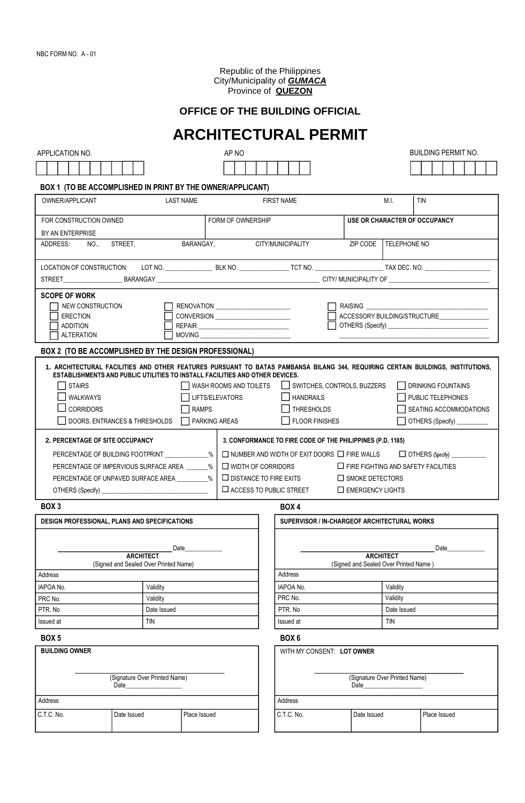Republic of the Philippines City/Municipality of *GUMACA* Province of **QUEZON**

# **OFFICE OF THE BUILDING OFFICIAL**

# **ARCHITECTURAL PERMIT**

| APPLICATION NO.                                                                                                                  |                                         | AP NO                              |                                                                                           |                                                                  |                                         | <b>BUILDING PERMIT NO.</b>   |  |  |  |
|----------------------------------------------------------------------------------------------------------------------------------|-----------------------------------------|------------------------------------|-------------------------------------------------------------------------------------------|------------------------------------------------------------------|-----------------------------------------|------------------------------|--|--|--|
|                                                                                                                                  |                                         |                                    |                                                                                           |                                                                  |                                         |                              |  |  |  |
| BOX 1 (TO BE ACCOMPLISHED IN PRINT BY THE OWNER/APPLICANT)                                                                       |                                         |                                    |                                                                                           |                                                                  |                                         |                              |  |  |  |
| OWNER/APPLICANT                                                                                                                  | <b>LAST NAME</b>                        |                                    | <b>FIRST NAME</b>                                                                         |                                                                  | M.I.                                    | <b>TIN</b>                   |  |  |  |
|                                                                                                                                  |                                         |                                    |                                                                                           |                                                                  |                                         |                              |  |  |  |
| FOR CONSTRUCTION OWNED<br>FORM OF OWNERSHIP                                                                                      |                                         |                                    |                                                                                           |                                                                  | USE OR CHARACTER OF OCCUPANCY           |                              |  |  |  |
| BY AN ENTERPRISE<br>BARANGAY,<br>STREET,<br>ADDRESS:<br>NO.,                                                                     |                                         |                                    | CITY/MUNICIPALITY                                                                         | ZIP CODE TELEPHONE NO                                            |                                         |                              |  |  |  |
|                                                                                                                                  |                                         |                                    |                                                                                           |                                                                  |                                         |                              |  |  |  |
|                                                                                                                                  |                                         |                                    |                                                                                           |                                                                  |                                         |                              |  |  |  |
|                                                                                                                                  |                                         |                                    |                                                                                           |                                                                  |                                         |                              |  |  |  |
| <b>SCOPE OF WORK</b>                                                                                                             |                                         |                                    |                                                                                           |                                                                  |                                         |                              |  |  |  |
| NEW CONSTRUCTION<br><b>ERECTION</b>                                                                                              |                                         |                                    |                                                                                           | <b>RAISING THE REAL PROPERTY</b><br>ACCESSORY BUILDING/STRUCTURE |                                         |                              |  |  |  |
| <b>ADDITION</b>                                                                                                                  |                                         | CONVERSION _______________________ |                                                                                           |                                                                  |                                         |                              |  |  |  |
| <b>ALTERATION</b>                                                                                                                |                                         | <b>MOVING</b>                      |                                                                                           |                                                                  |                                         |                              |  |  |  |
| BOX 2 (TO BE ACCOMPLISHED BY THE DESIGN PROFESSIONAL)                                                                            |                                         |                                    |                                                                                           |                                                                  |                                         |                              |  |  |  |
| 1. ARCHITECTURAL FACILITIES AND OTHER FEATURES PURSUANT TO BATAS PAMBANSA BILANG 344, REQUIRING CERTAIN BUILDINGS, INSTITUTIONS, |                                         |                                    |                                                                                           |                                                                  |                                         |                              |  |  |  |
| ESTABLISHMENTS AND PUBLIC UTILITIES TO INSTALL FACILITIES AND OTHER DEVICES.                                                     |                                         |                                    | SWITCHES, CONTROLS, BUZZERS                                                               |                                                                  |                                         |                              |  |  |  |
| <b>WALKWAYS</b>                                                                                                                  | <b>STAIRS</b><br>WASH ROOMS AND TOILETS |                                    |                                                                                           |                                                                  | DRINKING FOUNTAINS<br>PUBLIC TELEPHONES |                              |  |  |  |
|                                                                                                                                  | LIFTS/ELEVATORS                         |                                    |                                                                                           | <b>HANDRAILS</b><br>THRESHOLDS                                   |                                         |                              |  |  |  |
| <b>CORRIDORS</b><br><b>RAMPS</b><br>DOORS, ENTRANCES & THRESHOLDS   PARKING AREAS                                                |                                         |                                    |                                                                                           | SEATING ACCOMMODATIONS                                           |                                         |                              |  |  |  |
|                                                                                                                                  |                                         |                                    | <b>FLOOR FINISHES</b>                                                                     |                                                                  |                                         | OTHERS (Specify) ___________ |  |  |  |
| <b>2. PERCENTAGE OF SITE OCCUPANCY</b>                                                                                           |                                         |                                    | 3. CONFORMANCE TO FIRE CODE OF THE PHILIPPINES (P.D. 1185)                                |                                                                  |                                         |                              |  |  |  |
| PERCENTAGE OF BUILDING FOOTPRINT ____________%                                                                                   |                                         |                                    | $\Box$ NUMBER AND WIDTH OF EXIT DOORS $\Box$ FIRE WALLS $\Box$ OTHERS (Specify) _________ |                                                                  |                                         |                              |  |  |  |
| PERCENTAGE OF IMPERVIOUS SURFACE AREA _______%<br>$\Box$ WIDTH OF CORRIDORS                                                      |                                         |                                    |                                                                                           | $\Box$ FIRE FIGHTING AND SAFETY FACILITIES                       |                                         |                              |  |  |  |
| PERCENTAGE OF UNPAVED SURFACE AREA _________%                                                                                    |                                         |                                    | $\Box$ DISTANCE TO FIRE EXITS<br>$\square$ SMOKE DETECTORS                                |                                                                  |                                         |                              |  |  |  |
| $\Box$ ACCESS TO PUBLIC STREET<br><b>LEMERGENCY LIGHTS</b>                                                                       |                                         |                                    |                                                                                           |                                                                  |                                         |                              |  |  |  |
| BOX 3                                                                                                                            |                                         |                                    | <b>BOX 4</b>                                                                              |                                                                  |                                         |                              |  |  |  |
| DESIGN PROFESSIONAL, PLANS AND SPECIFICATIONS                                                                                    |                                         |                                    | SUPERVISOR / IN-CHARGEOF ARCHITECTURAL WORKS                                              |                                                                  |                                         |                              |  |  |  |
|                                                                                                                                  |                                         |                                    |                                                                                           |                                                                  |                                         |                              |  |  |  |
| Date<br><b>ARCHITECT</b>                                                                                                         |                                         |                                    | Date<br><b>ARCHITECT</b>                                                                  |                                                                  |                                         |                              |  |  |  |
| (Signed and Sealed Over Printed Name)                                                                                            |                                         |                                    | (Signed and Sealed Over Printed Name)                                                     |                                                                  |                                         |                              |  |  |  |
| Address                                                                                                                          |                                         |                                    | Address                                                                                   |                                                                  |                                         |                              |  |  |  |
| IAPOA No.                                                                                                                        | Validity                                |                                    | IAPOA No.<br>PRC No.                                                                      |                                                                  | Validity                                |                              |  |  |  |
| PRC No.<br>PTR. No                                                                                                               | Validity<br>Date Issued                 |                                    | PTR. No                                                                                   |                                                                  | Validity<br>Date Issued                 |                              |  |  |  |
| Issued at                                                                                                                        | TIN                                     |                                    | Issued at                                                                                 |                                                                  | <b>TIN</b>                              |                              |  |  |  |
| BOX <sub>5</sub>                                                                                                                 |                                         |                                    | BOX <sub>6</sub>                                                                          |                                                                  |                                         |                              |  |  |  |
| <b>BUILDING OWNER</b>                                                                                                            |                                         | WITH MY CONSENT: LOT OWNER         |                                                                                           |                                                                  |                                         |                              |  |  |  |
|                                                                                                                                  |                                         |                                    |                                                                                           |                                                                  |                                         |                              |  |  |  |
| (Signature Over Printed Name)                                                                                                    |                                         |                                    |                                                                                           | (Signature Over Printed Name)                                    |                                         |                              |  |  |  |
| Date                                                                                                                             |                                         |                                    |                                                                                           | Date                                                             |                                         |                              |  |  |  |
| Address                                                                                                                          |                                         |                                    | Address                                                                                   |                                                                  |                                         |                              |  |  |  |
| Date Issued<br>C.T.C. No.                                                                                                        | Place Issued                            |                                    | C.T.C. No.                                                                                | Date Issued                                                      |                                         | Place Issued                 |  |  |  |